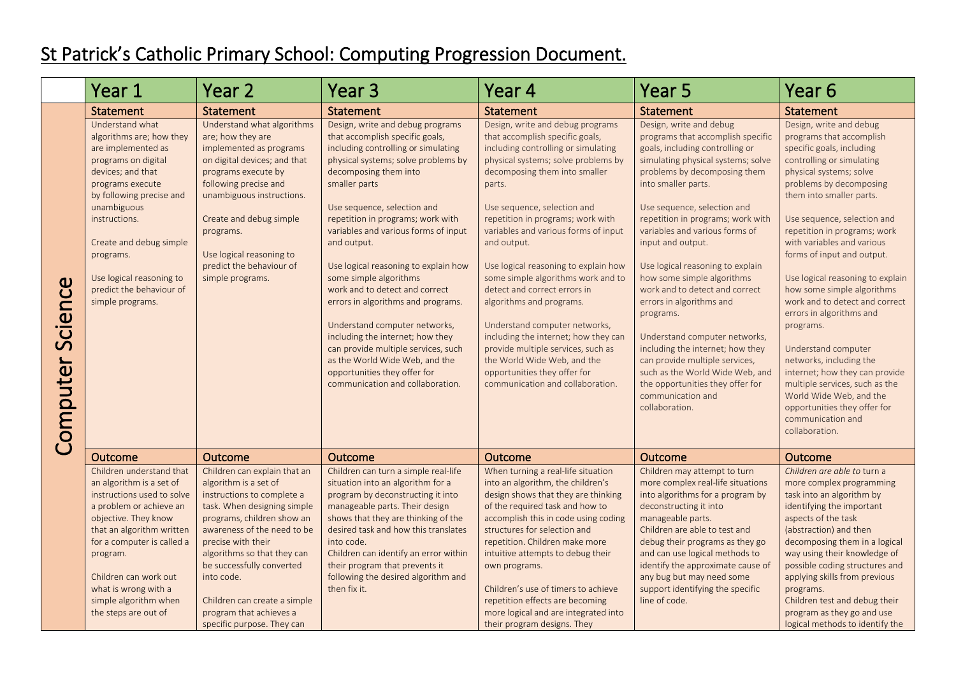## St Patrick's Catholic Primary School: Computing Progression Document.

|                     | Year 1<br>Year <sub>2</sub>                                                                                                                                                                                                                                                                                       |                                                                                                                                                                                                                                                                                                                                                                          | Year <sub>3</sub>                                                                                                                                                                                                                                                                                                                                                                                                                                                                                                                                                                                                                                                                  | Year 4                                                                                                                                                                                                                                                                                                                                                                                                                                                                                                                                                                                                                                                                              | Year 5                                                                                                                                                                                                                                                                                                                                                                                                                                                                                                                                                                                                                                                                                    | Year <sub>6</sub>                                                                                                                                                                                                                                                                                                                                                                                                                                                                                                                                                                                                                                                                               |
|---------------------|-------------------------------------------------------------------------------------------------------------------------------------------------------------------------------------------------------------------------------------------------------------------------------------------------------------------|--------------------------------------------------------------------------------------------------------------------------------------------------------------------------------------------------------------------------------------------------------------------------------------------------------------------------------------------------------------------------|------------------------------------------------------------------------------------------------------------------------------------------------------------------------------------------------------------------------------------------------------------------------------------------------------------------------------------------------------------------------------------------------------------------------------------------------------------------------------------------------------------------------------------------------------------------------------------------------------------------------------------------------------------------------------------|-------------------------------------------------------------------------------------------------------------------------------------------------------------------------------------------------------------------------------------------------------------------------------------------------------------------------------------------------------------------------------------------------------------------------------------------------------------------------------------------------------------------------------------------------------------------------------------------------------------------------------------------------------------------------------------|-------------------------------------------------------------------------------------------------------------------------------------------------------------------------------------------------------------------------------------------------------------------------------------------------------------------------------------------------------------------------------------------------------------------------------------------------------------------------------------------------------------------------------------------------------------------------------------------------------------------------------------------------------------------------------------------|-------------------------------------------------------------------------------------------------------------------------------------------------------------------------------------------------------------------------------------------------------------------------------------------------------------------------------------------------------------------------------------------------------------------------------------------------------------------------------------------------------------------------------------------------------------------------------------------------------------------------------------------------------------------------------------------------|
|                     | Statement                                                                                                                                                                                                                                                                                                         | Statement                                                                                                                                                                                                                                                                                                                                                                | Statement                                                                                                                                                                                                                                                                                                                                                                                                                                                                                                                                                                                                                                                                          | <b>Statement</b>                                                                                                                                                                                                                                                                                                                                                                                                                                                                                                                                                                                                                                                                    | <b>Statement</b>                                                                                                                                                                                                                                                                                                                                                                                                                                                                                                                                                                                                                                                                          | Statement                                                                                                                                                                                                                                                                                                                                                                                                                                                                                                                                                                                                                                                                                       |
| Science<br>Computer | Understand what<br>algorithms are; how they<br>are implemented as<br>programs on digital<br>devices; and that<br>programs execute<br>by following precise and<br>unambiguous<br>instructions.<br>Create and debug simple<br>programs.<br>Use logical reasoning to<br>predict the behaviour of<br>simple programs. | Understand what algorithms<br>are; how they are<br>implemented as programs<br>on digital devices; and that<br>programs execute by<br>following precise and<br>unambiguous instructions.<br>Create and debug simple<br>programs.<br>Use logical reasoning to<br>predict the behaviour of<br>simple programs.                                                              | Design, write and debug programs<br>that accomplish specific goals,<br>including controlling or simulating<br>physical systems; solve problems by<br>decomposing them into<br>smaller parts<br>Use sequence, selection and<br>repetition in programs; work with<br>variables and various forms of input<br>and output.<br>Use logical reasoning to explain how<br>some simple algorithms<br>work and to detect and correct<br>errors in algorithms and programs.<br>Understand computer networks,<br>including the internet; how they<br>can provide multiple services, such<br>as the World Wide Web, and the<br>opportunities they offer for<br>communication and collaboration. | Design, write and debug programs<br>that accomplish specific goals,<br>including controlling or simulating<br>physical systems; solve problems by<br>decomposing them into smaller<br>parts.<br>Use sequence, selection and<br>repetition in programs; work with<br>variables and various forms of input<br>and output.<br>Use logical reasoning to explain how<br>some simple algorithms work and to<br>detect and correct errors in<br>algorithms and programs.<br>Understand computer networks,<br>including the internet; how they can<br>provide multiple services, such as<br>the World Wide Web, and the<br>opportunities they offer for<br>communication and collaboration. | Design, write and debug<br>programs that accomplish specific<br>goals, including controlling or<br>simulating physical systems; solve<br>problems by decomposing them<br>into smaller parts.<br>Use sequence, selection and<br>repetition in programs; work with<br>variables and various forms of<br>input and output.<br>Use logical reasoning to explain<br>how some simple algorithms<br>work and to detect and correct<br>errors in algorithms and<br>programs.<br>Understand computer networks,<br>including the internet; how they<br>can provide multiple services,<br>such as the World Wide Web, and<br>the opportunities they offer for<br>communication and<br>collaboration. | Design, write and debug<br>programs that accomplish<br>specific goals, including<br>controlling or simulating<br>physical systems; solve<br>problems by decomposing<br>them into smaller parts.<br>Use sequence, selection and<br>repetition in programs; work<br>with variables and various<br>forms of input and output.<br>Use logical reasoning to explain<br>how some simple algorithms<br>work and to detect and correct<br>errors in algorithms and<br>programs.<br>Understand computer<br>networks, including the<br>internet; how they can provide<br>multiple services, such as the<br>World Wide Web, and the<br>opportunities they offer for<br>communication and<br>collaboration. |
|                     | Outcome                                                                                                                                                                                                                                                                                                           | <b>Outcome</b>                                                                                                                                                                                                                                                                                                                                                           | Outcome                                                                                                                                                                                                                                                                                                                                                                                                                                                                                                                                                                                                                                                                            | Outcome                                                                                                                                                                                                                                                                                                                                                                                                                                                                                                                                                                                                                                                                             | Outcome                                                                                                                                                                                                                                                                                                                                                                                                                                                                                                                                                                                                                                                                                   | Outcome                                                                                                                                                                                                                                                                                                                                                                                                                                                                                                                                                                                                                                                                                         |
|                     | Children understand that<br>an algorithm is a set of<br>instructions used to solve<br>a problem or achieve an<br>objective. They know<br>that an algorithm written<br>for a computer is called a<br>program.<br>Children can work out<br>what is wrong with a<br>simple algorithm when<br>the steps are out of    | Children can explain that an<br>algorithm is a set of<br>instructions to complete a<br>task. When designing simple<br>programs, children show an<br>awareness of the need to be<br>precise with their<br>algorithms so that they can<br>be successfully converted<br>into code.<br>Children can create a simple<br>program that achieves a<br>specific purpose. They can | Children can turn a simple real-life<br>situation into an algorithm for a<br>program by deconstructing it into<br>manageable parts. Their design<br>shows that they are thinking of the<br>desired task and how this translates<br>into code.<br>Children can identify an error within<br>their program that prevents it<br>following the desired algorithm and<br>then fix it.                                                                                                                                                                                                                                                                                                    | When turning a real-life situation<br>into an algorithm, the children's<br>design shows that they are thinking<br>of the required task and how to<br>accomplish this in code using coding<br>structures for selection and<br>repetition. Children make more<br>intuitive attempts to debug their<br>own programs.<br>Children's use of timers to achieve<br>repetition effects are becoming<br>more logical and are integrated into<br>their program designs. They                                                                                                                                                                                                                  | Children may attempt to turn<br>more complex real-life situations<br>into algorithms for a program by<br>deconstructing it into<br>manageable parts.<br>Children are able to test and<br>debug their programs as they go<br>and can use logical methods to<br>identify the approximate cause of<br>any bug but may need some<br>support identifying the specific<br>line of code.                                                                                                                                                                                                                                                                                                         | Children are able to turn a<br>more complex programming<br>task into an algorithm by<br>identifying the important<br>aspects of the task<br>(abstraction) and then<br>decomposing them in a logical<br>way using their knowledge of<br>possible coding structures and<br>applying skills from previous<br>programs.<br>Children test and debug their<br>program as they go and use<br>logical methods to identify the                                                                                                                                                                                                                                                                           |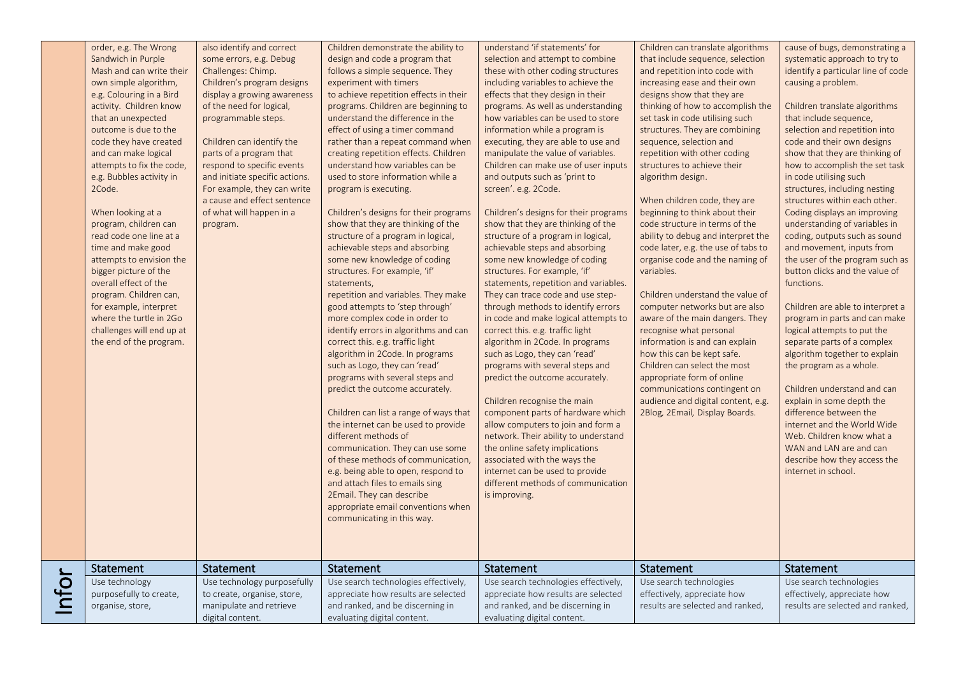| Infor | Statement<br>Use technology<br>purposefully to create,                                                                                                                                                                                                                                                                                                                                                                                                                                                                                                                                           | Statement<br>Use technology purposefully<br>to create, organise, store,                                                                                                                                                                                                                                                                                          | communication. They can use some<br>of these methods of communication,<br>e.g. being able to open, respond to<br>and attach files to emails sing<br>2Email. They can describe<br>appropriate email conventions when<br>communicating in this way.<br>Statement<br>Use search technologies effectively,<br>appreciate how results are selected                                                                                                                                                                                                                                                                                                                                                                                                                                                                                                                                                                                                                                                                                                                                      | the online safety implications<br>associated with the ways the<br>internet can be used to provide<br>different methods of communication<br>is improving.<br>Statement<br>Use search technologies effectively,<br>appreciate how results are selected                                                                                                                                                                                                                                                                                                                                                                                                                                                                                                                                                                                                                                                                                                                                                                                                                                                                          | Statement<br>Use search technologies<br>effectively, appreciate how                                                                                                                                                                                                                                                                                                                                                                                                                                                                                                                                                                                                                                                                                                                                                                                                                                                               | WAN and LAN are and can<br>describe how they access the<br>internet in school.<br>Statement<br>Use search technologies<br>effectively, appreciate how                                                                                                                                                                                                                                                                                                                                                                                                                                                                                                                                                                                                                                                                                                                           |
|-------|--------------------------------------------------------------------------------------------------------------------------------------------------------------------------------------------------------------------------------------------------------------------------------------------------------------------------------------------------------------------------------------------------------------------------------------------------------------------------------------------------------------------------------------------------------------------------------------------------|------------------------------------------------------------------------------------------------------------------------------------------------------------------------------------------------------------------------------------------------------------------------------------------------------------------------------------------------------------------|------------------------------------------------------------------------------------------------------------------------------------------------------------------------------------------------------------------------------------------------------------------------------------------------------------------------------------------------------------------------------------------------------------------------------------------------------------------------------------------------------------------------------------------------------------------------------------------------------------------------------------------------------------------------------------------------------------------------------------------------------------------------------------------------------------------------------------------------------------------------------------------------------------------------------------------------------------------------------------------------------------------------------------------------------------------------------------|-------------------------------------------------------------------------------------------------------------------------------------------------------------------------------------------------------------------------------------------------------------------------------------------------------------------------------------------------------------------------------------------------------------------------------------------------------------------------------------------------------------------------------------------------------------------------------------------------------------------------------------------------------------------------------------------------------------------------------------------------------------------------------------------------------------------------------------------------------------------------------------------------------------------------------------------------------------------------------------------------------------------------------------------------------------------------------------------------------------------------------|-----------------------------------------------------------------------------------------------------------------------------------------------------------------------------------------------------------------------------------------------------------------------------------------------------------------------------------------------------------------------------------------------------------------------------------------------------------------------------------------------------------------------------------------------------------------------------------------------------------------------------------------------------------------------------------------------------------------------------------------------------------------------------------------------------------------------------------------------------------------------------------------------------------------------------------|---------------------------------------------------------------------------------------------------------------------------------------------------------------------------------------------------------------------------------------------------------------------------------------------------------------------------------------------------------------------------------------------------------------------------------------------------------------------------------------------------------------------------------------------------------------------------------------------------------------------------------------------------------------------------------------------------------------------------------------------------------------------------------------------------------------------------------------------------------------------------------|
|       | Mash and can write their<br>own simple algorithm,<br>e.g. Colouring in a Bird<br>activity. Children know<br>that an unexpected<br>outcome is due to the<br>code they have created<br>and can make logical<br>attempts to fix the code,<br>e.g. Bubbles activity in<br>2Code.<br>When looking at a<br>program, children can<br>read code one line at a<br>time and make good<br>attempts to envision the<br>bigger picture of the<br>overall effect of the<br>program. Children can,<br>for example, interpret<br>where the turtle in 2Go<br>challenges will end up at<br>the end of the program. | Challenges: Chimp.<br>Children's program designs<br>display a growing awareness<br>of the need for logical,<br>programmable steps.<br>Children can identify the<br>parts of a program that<br>respond to specific events<br>and initiate specific actions.<br>For example, they can write<br>a cause and effect sentence<br>of what will happen in a<br>program. | follows a simple sequence. They<br>experiment with timers<br>to achieve repetition effects in their<br>programs. Children are beginning to<br>understand the difference in the<br>effect of using a timer command<br>rather than a repeat command when<br>creating repetition effects. Children<br>understand how variables can be<br>used to store information while a<br>program is executing.<br>Children's designs for their programs<br>show that they are thinking of the<br>structure of a program in logical,<br>achievable steps and absorbing<br>some new knowledge of coding<br>structures. For example, 'if'<br>statements,<br>repetition and variables. They make<br>good attempts to 'step through'<br>more complex code in order to<br>identify errors in algorithms and can<br>correct this. e.g. traffic light<br>algorithm in 2Code. In programs<br>such as Logo, they can 'read'<br>programs with several steps and<br>predict the outcome accurately.<br>Children can list a range of ways that<br>the internet can be used to provide<br>different methods of | these with other coding structures<br>including variables to achieve the<br>effects that they design in their<br>programs. As well as understanding<br>how variables can be used to store<br>information while a program is<br>executing, they are able to use and<br>manipulate the value of variables.<br>Children can make use of user inputs<br>and outputs such as 'print to<br>screen'. e.g. 2Code.<br>Children's designs for their programs<br>show that they are thinking of the<br>structure of a program in logical,<br>achievable steps and absorbing<br>some new knowledge of coding<br>structures. For example, 'if'<br>statements, repetition and variables.<br>They can trace code and use step-<br>through methods to identify errors<br>in code and make logical attempts to<br>correct this. e.g. traffic light<br>algorithm in 2Code. In programs<br>such as Logo, they can 'read'<br>programs with several steps and<br>predict the outcome accurately.<br>Children recognise the main<br>component parts of hardware which<br>allow computers to join and form a<br>network. Their ability to understand | and repetition into code with<br>increasing ease and their own<br>designs show that they are<br>thinking of how to accomplish the<br>set task in code utilising such<br>structures. They are combining<br>sequence, selection and<br>repetition with other coding<br>structures to achieve their<br>algorithm design.<br>When children code, they are<br>beginning to think about their<br>code structure in terms of the<br>ability to debug and interpret the<br>code later, e.g. the use of tabs to<br>organise code and the naming of<br>variables.<br>Children understand the value of<br>computer networks but are also<br>aware of the main dangers. They<br>recognise what personal<br>information is and can explain<br>how this can be kept safe.<br>Children can select the most<br>appropriate form of online<br>communications contingent on<br>audience and digital content, e.g.<br>2Blog, 2Email, Display Boards. | causing a problem.<br>Children translate algorithms<br>that include sequence,<br>selection and repetition into<br>code and their own designs<br>show that they are thinking of<br>how to accomplish the set task<br>in code utilising such<br>structures, including nesting<br>structures within each other.<br>Coding displays an improving<br>understanding of variables in<br>coding, outputs such as sound<br>and movement, inputs from<br>the user of the program such as<br>button clicks and the value of<br>functions.<br>Children are able to interpret a<br>program in parts and can make<br>logical attempts to put the<br>separate parts of a complex<br>algorithm together to explain<br>the program as a whole.<br>Children understand and can<br>explain in some depth the<br>difference between the<br>internet and the World Wide<br>Web. Children know what a |
|       | order, e.g. The Wrong<br>Sandwich in Purple                                                                                                                                                                                                                                                                                                                                                                                                                                                                                                                                                      | also identify and correct<br>some errors, e.g. Debug                                                                                                                                                                                                                                                                                                             | Children demonstrate the ability to<br>design and code a program that                                                                                                                                                                                                                                                                                                                                                                                                                                                                                                                                                                                                                                                                                                                                                                                                                                                                                                                                                                                                              | understand 'if statements' for<br>selection and attempt to combine                                                                                                                                                                                                                                                                                                                                                                                                                                                                                                                                                                                                                                                                                                                                                                                                                                                                                                                                                                                                                                                            | Children can translate algorithms<br>that include sequence, selection                                                                                                                                                                                                                                                                                                                                                                                                                                                                                                                                                                                                                                                                                                                                                                                                                                                             | cause of bugs, demonstrating a<br>systematic approach to try to<br>identify a particular line of code                                                                                                                                                                                                                                                                                                                                                                                                                                                                                                                                                                                                                                                                                                                                                                           |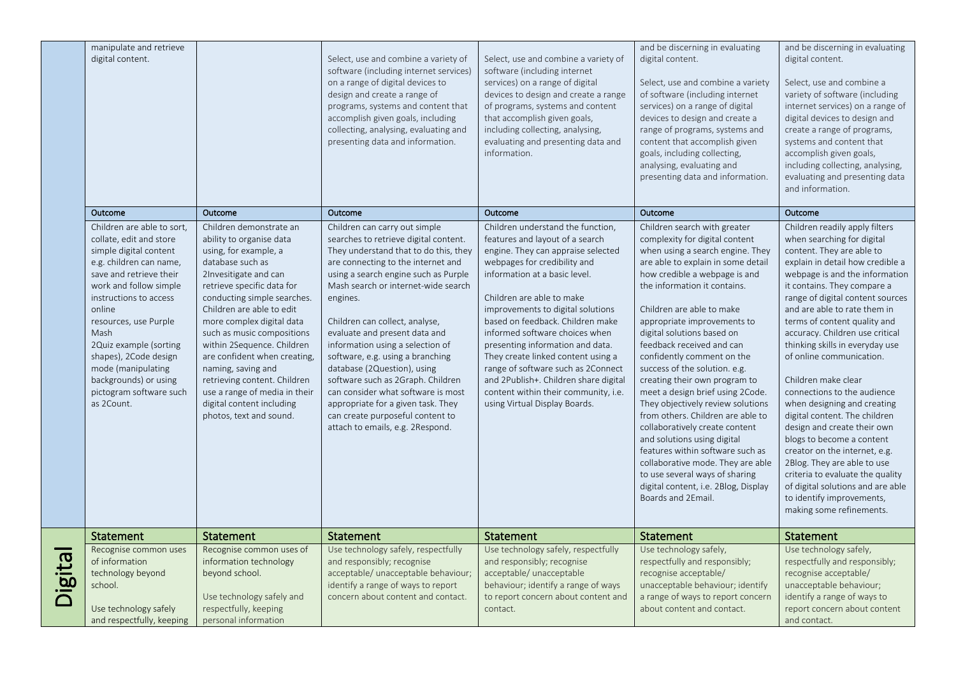|         | manipulate and retrieve<br>digital content.                                                                                                                                                                                                                                                                                                                                     |                                                                                                                                                                                                                                                                                                                                                                                                                                                                                             | Select, use and combine a variety of<br>software (including internet services)<br>on a range of digital devices to<br>design and create a range of<br>programs, systems and content that<br>accomplish given goals, including<br>collecting, analysing, evaluating and<br>presenting data and information.                                                                                                                                                                                                                                                                                                          | Select, use and combine a variety of<br>software (including internet<br>services) on a range of digital<br>devices to design and create a range<br>of programs, systems and content<br>that accomplish given goals,<br>including collecting, analysing,<br>evaluating and presenting data and<br>information.                                                                                                                                                                                                                                         | and be discerning in evaluating<br>digital content.<br>Select, use and combine a variety<br>of software (including internet<br>services) on a range of digital<br>devices to design and create a<br>range of programs, systems and<br>content that accomplish given<br>goals, including collecting,<br>analysing, evaluating and<br>presenting data and information.                                                                                                                                                                                                                                                                                                                                                                                                                     | and be discerning in evaluating<br>digital content.<br>Select, use and combine a<br>variety of software (including<br>internet services) on a range of<br>digital devices to design and<br>create a range of programs,<br>systems and content that<br>accomplish given goals,<br>including collecting, analysing,<br>evaluating and presenting data<br>and information.                                                                                                                                                                                                                                                                                                                                                                                                                  |
|---------|---------------------------------------------------------------------------------------------------------------------------------------------------------------------------------------------------------------------------------------------------------------------------------------------------------------------------------------------------------------------------------|---------------------------------------------------------------------------------------------------------------------------------------------------------------------------------------------------------------------------------------------------------------------------------------------------------------------------------------------------------------------------------------------------------------------------------------------------------------------------------------------|---------------------------------------------------------------------------------------------------------------------------------------------------------------------------------------------------------------------------------------------------------------------------------------------------------------------------------------------------------------------------------------------------------------------------------------------------------------------------------------------------------------------------------------------------------------------------------------------------------------------|-------------------------------------------------------------------------------------------------------------------------------------------------------------------------------------------------------------------------------------------------------------------------------------------------------------------------------------------------------------------------------------------------------------------------------------------------------------------------------------------------------------------------------------------------------|------------------------------------------------------------------------------------------------------------------------------------------------------------------------------------------------------------------------------------------------------------------------------------------------------------------------------------------------------------------------------------------------------------------------------------------------------------------------------------------------------------------------------------------------------------------------------------------------------------------------------------------------------------------------------------------------------------------------------------------------------------------------------------------|------------------------------------------------------------------------------------------------------------------------------------------------------------------------------------------------------------------------------------------------------------------------------------------------------------------------------------------------------------------------------------------------------------------------------------------------------------------------------------------------------------------------------------------------------------------------------------------------------------------------------------------------------------------------------------------------------------------------------------------------------------------------------------------|
|         | Outcome                                                                                                                                                                                                                                                                                                                                                                         | Outcome                                                                                                                                                                                                                                                                                                                                                                                                                                                                                     | Outcome                                                                                                                                                                                                                                                                                                                                                                                                                                                                                                                                                                                                             | Outcome                                                                                                                                                                                                                                                                                                                                                                                                                                                                                                                                               | Outcome                                                                                                                                                                                                                                                                                                                                                                                                                                                                                                                                                                                                                                                                                                                                                                                  | Outcome                                                                                                                                                                                                                                                                                                                                                                                                                                                                                                                                                                                                                                                                                                                                                                                  |
|         | Children are able to sort,<br>collate, edit and store<br>simple digital content<br>e.g. children can name,<br>save and retrieve their<br>work and follow simple<br>instructions to access<br>online<br>resources, use Purple<br>Mash<br>2Quiz example (sorting<br>shapes), 2Code design<br>mode (manipulating<br>backgrounds) or using<br>pictogram software such<br>as 2Count. | Children demonstrate an<br>ability to organise data<br>using, for example, a<br>database such as<br>2Invesitigate and can<br>retrieve specific data for<br>conducting simple searches.<br>Children are able to edit<br>more complex digital data<br>such as music compositions<br>within 2Sequence. Children<br>are confident when creating,<br>naming, saving and<br>retrieving content. Children<br>use a range of media in their<br>digital content including<br>photos, text and sound. | Children can carry out simple<br>searches to retrieve digital content.<br>They understand that to do this, they<br>are connecting to the internet and<br>using a search engine such as Purple<br>Mash search or internet-wide search<br>engines.<br>Children can collect, analyse,<br>evaluate and present data and<br>information using a selection of<br>software, e.g. using a branching<br>database (2Question), using<br>software such as 2Graph. Children<br>can consider what software is most<br>appropriate for a given task. They<br>can create purposeful content to<br>attach to emails, e.g. 2Respond. | Children understand the function,<br>features and layout of a search<br>engine. They can appraise selected<br>webpages for credibility and<br>information at a basic level.<br>Children are able to make<br>improvements to digital solutions<br>based on feedback. Children make<br>informed software choices when<br>presenting information and data.<br>They create linked content using a<br>range of software such as 2Connect<br>and 2Publish+. Children share digital<br>content within their community, i.e.<br>using Virtual Display Boards. | Children search with greater<br>complexity for digital content<br>when using a search engine. They<br>are able to explain in some detail<br>how credible a webpage is and<br>the information it contains.<br>Children are able to make<br>appropriate improvements to<br>digital solutions based on<br>feedback received and can<br>confidently comment on the<br>success of the solution. e.g.<br>creating their own program to<br>meet a design brief using 2Code.<br>They objectively review solutions<br>from others. Children are able to<br>collaboratively create content<br>and solutions using digital<br>features within software such as<br>collaborative mode. They are able<br>to use several ways of sharing<br>digital content, i.e. 2Blog, Display<br>Boards and 2Email. | Children readily apply filters<br>when searching for digital<br>content. They are able to<br>explain in detail how credible a<br>webpage is and the information<br>it contains. They compare a<br>range of digital content sources<br>and are able to rate them in<br>terms of content quality and<br>accuracy. Children use critical<br>thinking skills in everyday use<br>of online communication.<br>Children make clear<br>connections to the audience<br>when designing and creating<br>digital content. The children<br>design and create their own<br>blogs to become a content<br>creator on the internet, e.g.<br>2Blog. They are able to use<br>criteria to evaluate the quality<br>of digital solutions and are able<br>to identify improvements,<br>making some refinements. |
|         | Statement                                                                                                                                                                                                                                                                                                                                                                       | Statement                                                                                                                                                                                                                                                                                                                                                                                                                                                                                   | Statement                                                                                                                                                                                                                                                                                                                                                                                                                                                                                                                                                                                                           | <b>Statement</b>                                                                                                                                                                                                                                                                                                                                                                                                                                                                                                                                      | <b>Statement</b>                                                                                                                                                                                                                                                                                                                                                                                                                                                                                                                                                                                                                                                                                                                                                                         | Statement                                                                                                                                                                                                                                                                                                                                                                                                                                                                                                                                                                                                                                                                                                                                                                                |
| Digital | Recognise common uses<br>of information<br>technology beyond<br>school.<br>Use technology safely<br>and respectfully, keeping                                                                                                                                                                                                                                                   | Recognise common uses of<br>information technology<br>beyond school.<br>Use technology safely and<br>respectfully, keeping<br>personal information                                                                                                                                                                                                                                                                                                                                          | Use technology safely, respectfully<br>and responsibly; recognise<br>acceptable/ unacceptable behaviour;<br>identify a range of ways to report<br>concern about content and contact.                                                                                                                                                                                                                                                                                                                                                                                                                                | Use technology safely, respectfully<br>and responsibly; recognise<br>acceptable/ unacceptable<br>behaviour; identify a range of ways<br>to report concern about content and<br>contact.                                                                                                                                                                                                                                                                                                                                                               | Use technology safely,<br>respectfully and responsibly;<br>recognise acceptable/<br>unacceptable behaviour; identify<br>a range of ways to report concern<br>about content and contact.                                                                                                                                                                                                                                                                                                                                                                                                                                                                                                                                                                                                  | Use technology safely,<br>respectfully and responsibly;<br>recognise acceptable/<br>unacceptable behaviour;<br>identify a range of ways to<br>report concern about content<br>and contact.                                                                                                                                                                                                                                                                                                                                                                                                                                                                                                                                                                                               |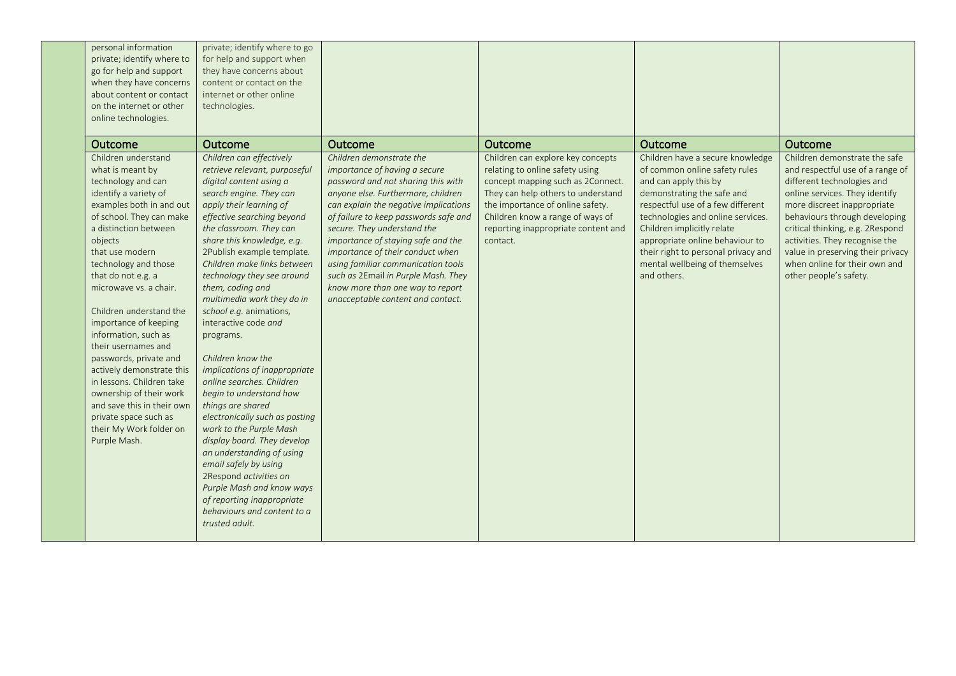| personal information<br>private; identify where to<br>go for help and support<br>when they have concerns<br>about content or contact<br>on the internet or other<br>online technologies.                                                                                                                                                                                                                                                                                                                                                                                                          | private; identify where to go<br>for help and support when<br>they have concerns about<br>content or contact on the<br>internet or other online<br>technologies.                                                                                                                                                                                                                                                                                                                                                                                                                                                                                                                                                                                                                                                                                                          |                                                                                                                                                                                                                                                                                                                                                                                                                                                                                        |                                                                                                                                                                                                                                                                            |                                                                                                                                                                                                                                                                                                                                                             |                                                                                                                                                                                                                                                                                                                                                                         |
|---------------------------------------------------------------------------------------------------------------------------------------------------------------------------------------------------------------------------------------------------------------------------------------------------------------------------------------------------------------------------------------------------------------------------------------------------------------------------------------------------------------------------------------------------------------------------------------------------|---------------------------------------------------------------------------------------------------------------------------------------------------------------------------------------------------------------------------------------------------------------------------------------------------------------------------------------------------------------------------------------------------------------------------------------------------------------------------------------------------------------------------------------------------------------------------------------------------------------------------------------------------------------------------------------------------------------------------------------------------------------------------------------------------------------------------------------------------------------------------|----------------------------------------------------------------------------------------------------------------------------------------------------------------------------------------------------------------------------------------------------------------------------------------------------------------------------------------------------------------------------------------------------------------------------------------------------------------------------------------|----------------------------------------------------------------------------------------------------------------------------------------------------------------------------------------------------------------------------------------------------------------------------|-------------------------------------------------------------------------------------------------------------------------------------------------------------------------------------------------------------------------------------------------------------------------------------------------------------------------------------------------------------|-------------------------------------------------------------------------------------------------------------------------------------------------------------------------------------------------------------------------------------------------------------------------------------------------------------------------------------------------------------------------|
| Outcome                                                                                                                                                                                                                                                                                                                                                                                                                                                                                                                                                                                           | Outcome                                                                                                                                                                                                                                                                                                                                                                                                                                                                                                                                                                                                                                                                                                                                                                                                                                                                   | Outcome                                                                                                                                                                                                                                                                                                                                                                                                                                                                                | Outcome                                                                                                                                                                                                                                                                    | Outcome                                                                                                                                                                                                                                                                                                                                                     | Outcome                                                                                                                                                                                                                                                                                                                                                                 |
| Children understand<br>what is meant by<br>technology and can<br>identify a variety of<br>examples both in and out<br>of school. They can make<br>a distinction between<br>objects<br>that use modern<br>technology and those<br>that do not e.g. a<br>microwave vs. a chair.<br>Children understand the<br>importance of keeping<br>information, such as<br>their usernames and<br>passwords, private and<br>actively demonstrate this<br>in lessons. Children take<br>ownership of their work<br>and save this in their own<br>private space such as<br>their My Work folder on<br>Purple Mash. | Children can effectively<br>retrieve relevant, purposeful<br>digital content using a<br>search engine. They can<br>apply their learning of<br>effective searching beyond<br>the classroom. They can<br>share this knowledge, e.g.<br>2Publish example template.<br>Children make links between<br>technology they see around<br>them, coding and<br>multimedia work they do in<br>school e.g. animations,<br>interactive code and<br>programs.<br>Children know the<br>implications of inappropriate<br>online searches. Children<br>begin to understand how<br>things are shared<br>electronically such as posting<br>work to the Purple Mash<br>display board. They develop<br>an understanding of using<br>email safely by using<br>2Respond activities on<br>Purple Mash and know ways<br>of reporting inappropriate<br>behaviours and content to a<br>trusted adult. | Children demonstrate the<br>importance of having a secure<br>password and not sharing this with<br>anyone else. Furthermore, children<br>can explain the negative implications<br>of failure to keep passwords safe and<br>secure. They understand the<br>importance of staying safe and the<br>importance of their conduct when<br>using familiar communication tools<br>such as 2Email in Purple Mash. They<br>know more than one way to report<br>unacceptable content and contact. | Children can explore key concepts<br>relating to online safety using<br>concept mapping such as 2Connect.<br>They can help others to understand<br>the importance of online safety.<br>Children know a range of ways of<br>reporting inappropriate content and<br>contact. | Children have a secure knowledge<br>of common online safety rules<br>and can apply this by<br>demonstrating the safe and<br>respectful use of a few different<br>technologies and online services.<br>Children implicitly relate<br>appropriate online behaviour to<br>their right to personal privacy and<br>mental wellbeing of themselves<br>and others. | Children demonstrate the safe<br>and respectful use of a range of<br>different technologies and<br>online services. They identify<br>more discreet inappropriate<br>behaviours through developing<br>critical thinking, e.g. 2Respond<br>activities. They recognise the<br>value in preserving their privacy<br>when online for their own and<br>other people's safety. |